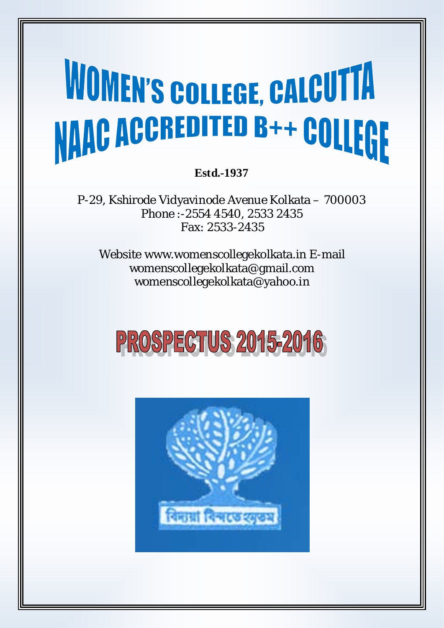

**Estd.-1937**

P-29, Kshirode Vidyavinode Avenue Kolkata – 700003 Phone :-2554 4540, 2533 2435 Fax: 2533-2435

Website www.womenscollegekolkata.in E-mail womenscollegekolkata@gmail.com womenscollegekolkata@yahoo.in



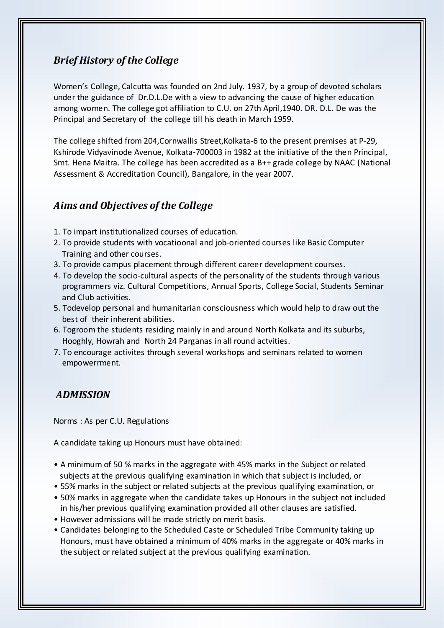# *Brief History of the College*

Women's College, Calcutta was founded on 2nd July. 1937, by a group of devoted scholars under the guidance of Dr.D.L.De with a view to advancing the cause of higher education among women. The college got affiliation to C.U. on 27th April,1940. DR. D.L. De was the Principal and Secretary of the college till his death in March 1959.

The college shifted from 204,Cornwallis Street,Kolkata-6 to the present premises at P-29, Kshirode Vidyavinode Avenue, Kolkata-700003 in 1982 at the initiative of the then Principal, Smt. Hena Maitra. The college has been accredited as a B++ grade college by NAAC (National Assessment & Accreditation Council), Bangalore, in the year 2007.

# *Aims and Objectives of the College*

- 1. To impart institutionalized courses of education.
- 2. To provide students with vocatioonal and job-oriented courses like Basic Computer Training and other courses.
- 3. To provide campus placement through different career development courses.
- 4. To develop the socio-cultural aspects of the personality of the students through various programmers viz. Cultural Competitions, Annual Sports, College Social, Students Seminar and Club activities.
- 5. Todevelop personal and humanitarian consciousness which would help to draw out the best of their inherent abilities.
- 6. Togroom the students residing mainly in and around North Kolkata and its suburbs, Hooghly, Howrah and North 24 Parganas in all round actvities.
- 7. To encourage activites through several workshops and seminars related to women empowerrment.

### *ADMISSION*

Norms : As per C.U. Regulations

A candidate taking up Honours must have obtained:

- A minimum of 50 % marks in the aggregate with 45% marks in the Subject or related subjects at the previous qualifying examination in which that subject is included, or
- 55% marks in the subject or related subjects at the previous qualifying examination, or
- 50% marks in aggregate when the candidate takes up Honours in the subject not included in his/her previous qualifying examination provided all other clauses are satisfied.
- However admissions will be made strictly on merit basis.
- Candidates belonging to the Scheduled Caste or Scheduled Tribe Community taking up Honours, must have obtained a minimum of 40% marks in the aggregate or 40% marks in the subject or related subject at the previous qualifying examination.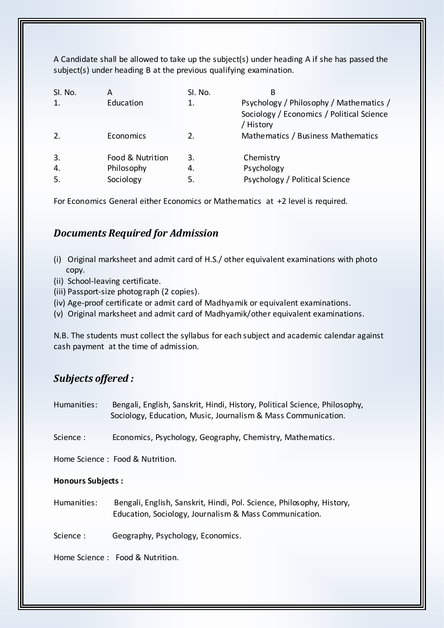A Candidate shall be allowed to take up the subject(s) under heading A if she has passed the subject(s) under heading B at the previous qualifying examination.

| SI. No.<br>$\mathbf{1}$ . | А<br>Education                              | SI. No.<br>1.  | В<br>Psychology / Philosophy / Mathematics /<br>Sociology / Economics / Political Science<br>/ History |
|---------------------------|---------------------------------------------|----------------|--------------------------------------------------------------------------------------------------------|
| 2.                        | Economics                                   | 2.             | Mathematics / Business Mathematics                                                                     |
| 3.<br>4.<br>5.            | Food & Nutrition<br>Philosophy<br>Sociology | 3.<br>4.<br>5. | Chemistry<br>Psychology<br>Psychology / Political Science                                              |

For Economics General either Economics or Mathematics at +2 level is required.

### *Documents Required for Admission*

- (i) Original marksheet and admit card of H.S./ other equivalent examinations with photo copy.
- (ii) School-leaving certificate.
- (iii) Passport-size photograph (2 copies).
- (iv) Age-proof certificate or admit card of Madhyamik or equivalent examinations.
- (v) Original marksheet and admit card of Madhyamik/other equivalent examinations.

N.B. The students must collect the syllabus for each subject and academic calendar against cash payment at the time of admission.

# *Subjects offered :*

Humanities: Bengali, English, Sanskrit, Hindi, History, Political Science, Philosophy, Sociology, Education, Music, Journalism & Mass Communication.

Science : Economics, Psychology, Geography, Chemistry, Mathematics.

Home Science : Food & Nutrition.

#### **Honours Subjects :**

Humanities: Bengali, English, Sanskrit, Hindi, Pol. Science, Philosophy, History, Education, Sociology, Journalism & Mass Communication.

Science : Geography, Psychology, Economics.

Home Science : Food & Nutrition.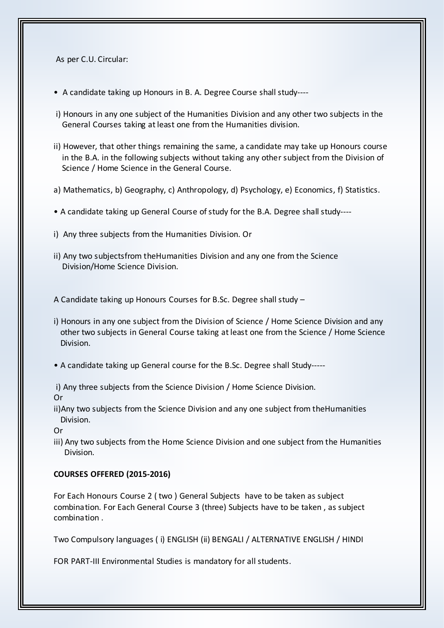As per C.U. Circular:

- A candidate taking up Honours in B. A. Degree Course shall study----
- i) Honours in any one subject of the Humanities Division and any other two subjects in the General Courses taking at least one from the Humanities division.
- ii) However, that other things remaining the same, a candidate may take up Honours course in the B.A. in the following subjects without taking any other subject from the Division of Science / Home Science in the General Course.
- a) Mathematics, b) Geography, c) Anthropology, d) Psychology, e) Economics, f) Statistics.
- A candidate taking up General Course of study for the B.A. Degree shall study----
- i) Any three subjects from the Humanities Division. Or
- ii) Any two subjectsfrom theHumanities Division and any one from the Science Division/Home Science Division.

A Candidate taking up Honours Courses for B.Sc. Degree shall study –

i) Honours in any one subject from the Division of Science / Home Science Division and any other two subjects in General Course taking at least one from the Science / Home Science Division.

• A candidate taking up General course for the B.Sc. Degree shall Study-----

i) Any three subjects from the Science Division / Home Science Division.

Or

ii)Any two subjects from the Science Division and any one subject from theHumanities Division.

Or

iii) Any two subjects from the Home Science Division and one subject from the Humanities Division.

#### **COURSES OFFERED (2015-2016)**

For Each Honours Course 2 ( two ) General Subjects have to be taken as subject combination. For Each General Course 3 (three) Subjects have to be taken , as subject combination .

Two Compulsory languages ( i) ENGLISH (ii) BENGALI / ALTERNATIVE ENGLISH / HINDI

FOR PART-III Environmental Studies is mandatory for all students.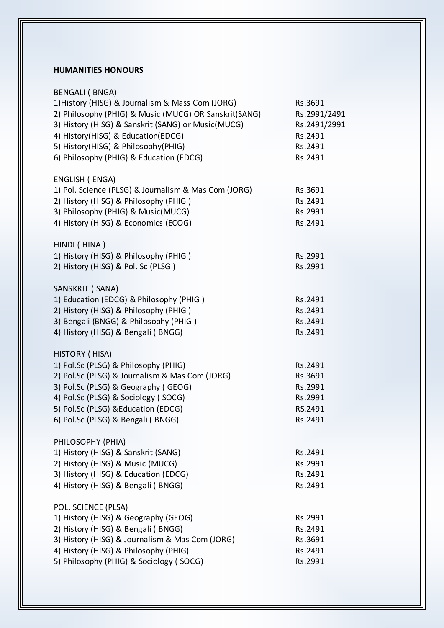### **HUMANITIES HONOURS**

| <b>BENGALI (BNGA)</b><br>1) History (HISG) & Journalism & Mass Com (JORG)<br>2) Philosophy (PHIG) & Music (MUCG) OR Sanskrit(SANG)<br>3) History (HISG) & Sanskrit (SANG) or Music(MUCG)<br>4) History(HISG) & Education(EDCG)<br>5) History(HISG) & Philosophy(PHIG)<br>6) Philosophy (PHIG) & Education (EDCG) | Rs.3691<br>Rs.2991/2491<br>Rs.2491/2991<br>Rs.2491<br>Rs.2491<br>Rs.2491 |
|------------------------------------------------------------------------------------------------------------------------------------------------------------------------------------------------------------------------------------------------------------------------------------------------------------------|--------------------------------------------------------------------------|
| ENGLISH ( ENGA)<br>1) Pol. Science (PLSG) & Journalism & Mas Com (JORG)<br>2) History (HISG) & Philosophy (PHIG)<br>3) Philosophy (PHIG) & Music(MUCG)<br>4) History (HISG) & Economics (ECOG)                                                                                                                   | Rs.3691<br>Rs.2491<br>Rs.2991<br>Rs.2491                                 |
| HINDI (HINA)<br>1) History (HISG) & Philosophy (PHIG)<br>2) History (HISG) & Pol. Sc (PLSG)                                                                                                                                                                                                                      | Rs.2991<br>Rs.2991                                                       |
| SANSKRIT (SANA)<br>1) Education (EDCG) & Philosophy (PHIG)<br>2) History (HISG) & Philosophy (PHIG)<br>3) Bengali (BNGG) & Philosophy (PHIG)<br>4) History (HISG) & Bengali (BNGG)                                                                                                                               | Rs.2491<br>Rs.2491<br>Rs.2491<br>Rs.2491                                 |
| <b>HISTORY (HISA)</b><br>1) Pol.Sc (PLSG) & Philosophy (PHIG)<br>2) Pol.Sc (PLSG) & Journalism & Mas Com (JORG)<br>3) Pol.Sc (PLSG) & Geography (GEOG)<br>4) Pol.Sc (PLSG) & Sociology (SOCG)<br>5) Pol.Sc (PLSG) & Education (EDCG)<br>6) Pol.Sc (PLSG) & Bengali (BNGG)                                        | Rs.2491<br>Rs.3691<br>Rs.2991<br>Rs.2991<br>RS.2491<br>Rs.2491           |
| PHILOSOPHY (PHIA)<br>1) History (HISG) & Sanskrit (SANG)<br>2) History (HISG) & Music (MUCG)<br>3) History (HISG) & Education (EDCG)<br>4) History (HISG) & Bengali (BNGG)                                                                                                                                       | Rs.2491<br>Rs.2991<br>Rs.2491<br>Rs.2491                                 |
| POL. SCIENCE (PLSA)<br>1) History (HISG) & Geography (GEOG)<br>2) History (HISG) & Bengali (BNGG)<br>3) History (HISG) & Journalism & Mas Com (JORG)<br>4) History (HISG) & Philosophy (PHIG)<br>5) Philosophy (PHIG) & Sociology (SOCG)                                                                         | Rs.2991<br>Rs.2491<br>Rs.3691<br>Rs.2491<br>Rs.2991                      |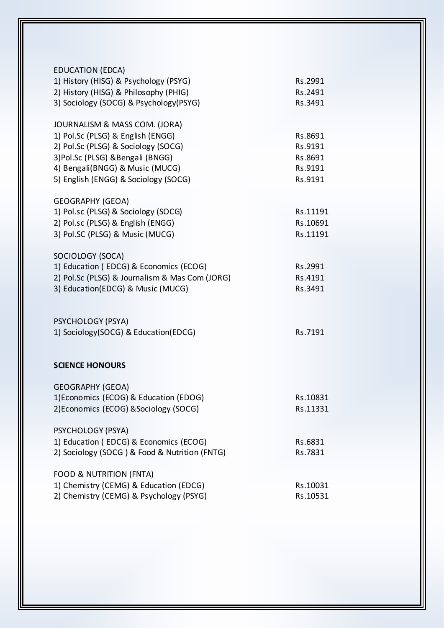| <b>EDUCATION (EDCA)</b><br>1) History (HISG) & Psychology (PSYG)<br>2) History (HISG) & Philosophy (PHIG)<br>3) Sociology (SOCG) & Psychology (PSYG)                                                                     | Rs.2991<br>Rs.2491<br>Rs.3491                       |
|--------------------------------------------------------------------------------------------------------------------------------------------------------------------------------------------------------------------------|-----------------------------------------------------|
| JOURNALISM & MASS COM. (JORA)<br>1) Pol.Sc (PLSG) & English (ENGG)<br>2) Pol.Sc (PLSG) & Sociology (SOCG)<br>3)Pol.Sc (PLSG) & Bengali (BNGG)<br>4) Bengali(BNGG) & Music (MUCG)<br>5) English (ENGG) & Sociology (SOCG) | Rs.8691<br>Rs.9191<br>Rs.8691<br>Rs.9191<br>Rs.9191 |
| <b>GEOGRAPHY (GEOA)</b><br>1) Pol.sc (PLSG) & Sociology (SOCG)<br>2) Pol.sc (PLSG) & English (ENGG)<br>3) Pol.SC (PLSG) & Music (MUCG)                                                                                   | Rs.11191<br>Rs.10691<br>Rs.11191                    |
| SOCIOLOGY (SOCA)<br>1) Education (EDCG) & Economics (ECOG)<br>2) Pol.Sc (PLSG) & Journalism & Mas Com (JORG)<br>3) Education(EDCG) & Music (MUCG)                                                                        | Rs.2991<br>Rs.4191<br>Rs.3491                       |
| PSYCHOLOGY (PSYA)<br>1) Sociology(SOCG) & Education(EDCG)                                                                                                                                                                | Rs.7191                                             |
| <b>SCIENCE HONOURS</b>                                                                                                                                                                                                   |                                                     |
| <b>GEOGRAPHY (GEOA)</b><br>1) Economics (ECOG) & Education (EDOG)<br>2) Economics (ECOG) & Sociology (SOCG)                                                                                                              | Rs.10831<br>Rs.11331                                |
| PSYCHOLOGY (PSYA)<br>1) Education (EDCG) & Economics (ECOG)<br>2) Sociology (SOCG) & Food & Nutrition (FNTG)                                                                                                             | Rs.6831<br>Rs.7831                                  |
| <b>FOOD &amp; NUTRITION (FNTA)</b><br>1) Chemistry (CEMG) & Education (EDCG)<br>2) Chemistry (CEMG) & Psychology (PSYG)                                                                                                  | Rs.10031<br>Rs.10531                                |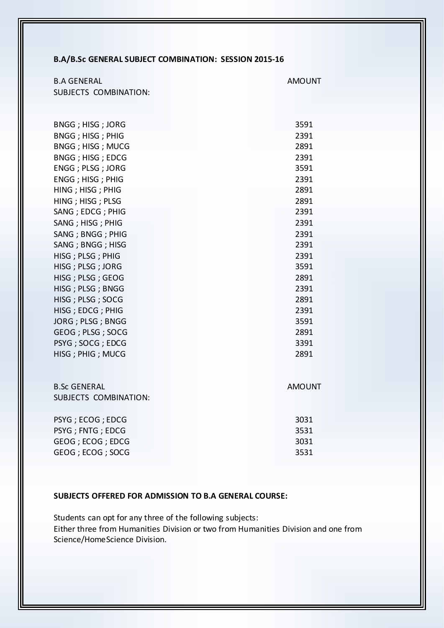#### **B.A/B.Sc GENERAL SUBJECT COMBINATION: SESSION 2015-16**

B.A GENERAL AMOUNT SUBJECTS COMBINATION:

| <b>BNGG; HISG; JORG</b>      | 3591          |
|------------------------------|---------------|
| <b>BNGG; HISG; PHIG</b>      | 2391          |
| <b>BNGG; HISG; MUCG</b>      | 2891          |
| <b>BNGG</b> ; HISG; EDCG     | 2391          |
| ENGG; PLSG; JORG             | 3591          |
| ENGG; HISG; PHIG             | 2391          |
| HING; HISG; PHIG             | 2891          |
| HING; HISG; PLSG             | 2891          |
| SANG ; EDCG ; PHIG           | 2391          |
| SANG; HISG; PHIG             | 2391          |
| SANG; BNGG; PHIG             | 2391          |
| SANG; BNGG; HISG             | 2391          |
| HISG; PLSG; PHIG             | 2391          |
| HISG; PLSG; JORG             | 3591          |
| HISG; PLSG; GEOG             | 2891          |
| HISG; PLSG; BNGG             | 2391          |
| HISG; PLSG; SOCG             | 2891          |
| HISG; EDCG; PHIG             | 2391          |
| JORG ; PLSG ; BNGG           | 3591          |
| GEOG; PLSG; SOCG             | 2891          |
| PSYG; SOCG; EDCG             | 3391          |
| HISG; PHIG; MUCG             | 2891          |
|                              |               |
| <b>B.Sc GENERAL</b>          | <b>AMOUNT</b> |
| <b>SUBJECTS COMBINATION:</b> |               |
| PSYG; ECOG; EDCG             | 3031          |
|                              |               |

| <b>POIU, ELUU, EULU</b> | <b>JUJI</b> |
|-------------------------|-------------|
| PSYG; FNTG; EDCG        | 3531        |
| GEOG; ECOG; EDCG        | 3031        |
| GEOG ; ECOG ; SOCG      | 3531        |
|                         |             |

#### **SUBJECTS OFFERED FOR ADMISSION TO B.A GENERAL COURSE:**

Students can opt for any three of the following subjects: Either three from Humanities Division or two from Humanities Division and one from Science/HomeScience Division.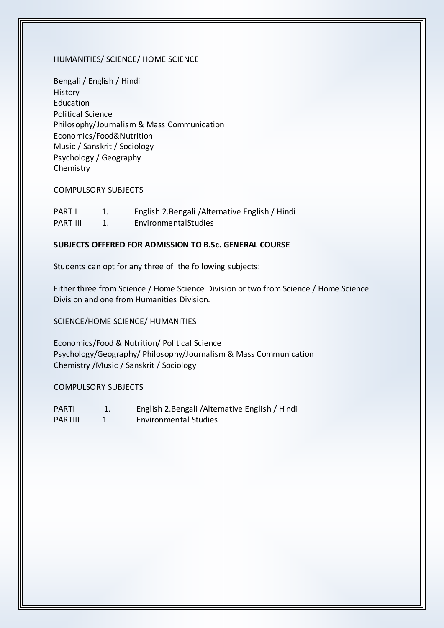#### HUMANITIES/ SCIENCE/ HOME SCIENCE

Bengali / English / Hindi **History** Education Political Science Philosophy/Journalism & Mass Communication Economics/Food&Nutrition Music / Sanskrit / Sociology Psychology / Geography **Chemistry** 

#### COMPULSORY SUBJECTS

| PART I          | English 2. Bengali / Alternative English / Hindi |
|-----------------|--------------------------------------------------|
| <b>PART III</b> | EnvironmentalStudies                             |

#### **SUBJECTS OFFERED FOR ADMISSION TO B.Sc. GENERAL COURSE**

Students can opt for any three of the following subjects:

Either three from Science / Home Science Division or two from Science / Home Science Division and one from Humanities Division.

SCIENCE/HOME SCIENCE/ HUMANITIES

Economics/Food & Nutrition/ Political Science Psychology/Geography/ Philosophy/Journalism & Mass Communication Chemistry /Music / Sanskrit / Sociology

COMPULSORY SUBJECTS

| <b>PARTI</b>   | English 2. Bengali / Alternative English / Hindi |
|----------------|--------------------------------------------------|
| <b>PARTIII</b> | Environmental Studies                            |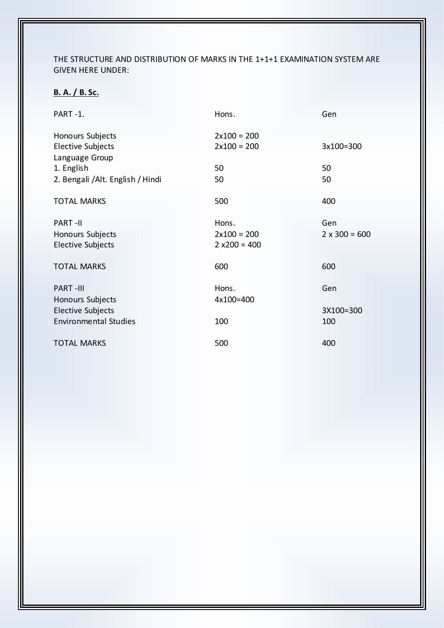THE STRUCTURE AND DISTRIBUTION OF MARKS IN THE 1+1+1 EXAMINATION SYSTEM ARE GIVEN HERE UNDER:

# **B. A. / B. Sc.**

| PART-1.                                                        | Hons.                           | Gen                  |
|----------------------------------------------------------------|---------------------------------|----------------------|
| Honours Subjects<br><b>Elective Subjects</b><br>Language Group | $2x100 = 200$<br>$2x100 = 200$  | 3x100=300            |
| 1. English                                                     | 50                              | 50                   |
| 2. Bengali / Alt. English / Hindi                              | 50                              | 50                   |
| <b>TOTAL MARKS</b>                                             | 500                             | 400                  |
| PART-II                                                        | Hons.                           | Gen                  |
| Honours Subjects<br><b>Elective Subjects</b>                   | $2x100 = 200$<br>$2 x200 = 400$ | $2 \times 300 = 600$ |
| <b>TOTAL MARKS</b>                                             | 600                             | 600                  |
| PART-III<br>Honours Subjects                                   | Hons.<br>4x100=400              | Gen                  |
| <b>Elective Subjects</b>                                       |                                 | 3X100=300            |
| <b>Environmental Studies</b>                                   | 100                             | 100                  |
| <b>TOTAL MARKS</b>                                             | 500                             | 400                  |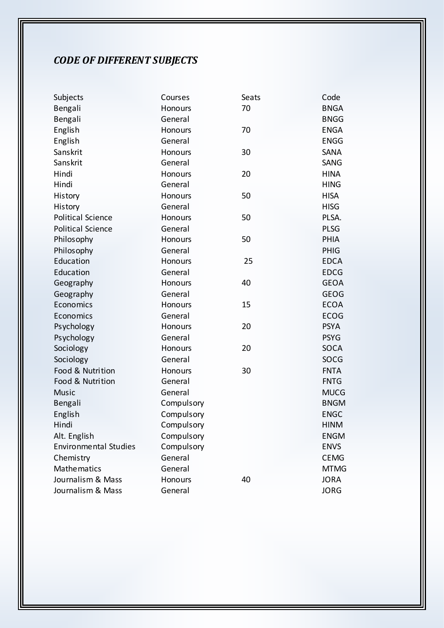# *CODE OF DIFFERENT SUBJECTS*

| Subjects                     | Courses    | Seats | Code        |
|------------------------------|------------|-------|-------------|
| Bengali                      | Honours    | 70    | <b>BNGA</b> |
| Bengali                      | General    |       | <b>BNGG</b> |
| English                      | Honours    | 70    | <b>ENGA</b> |
| English                      | General    |       | <b>ENGG</b> |
| Sanskrit                     | Honours    | 30    | <b>SANA</b> |
| Sanskrit                     | General    |       | SANG        |
| Hindi                        | Honours    | 20    | <b>HINA</b> |
| Hindi                        | General    |       | <b>HING</b> |
| History                      | Honours    | 50    | <b>HISA</b> |
| History                      | General    |       | <b>HISG</b> |
| <b>Political Science</b>     | Honours    | 50    | PLSA.       |
| <b>Political Science</b>     | General    |       | <b>PLSG</b> |
| Philosophy                   | Honours    | 50    | PHIA        |
| Philosophy                   | General    |       | PHIG        |
| Education                    | Honours    | 25    | <b>EDCA</b> |
| Education                    | General    |       | <b>EDCG</b> |
| Geography                    | Honours    | 40    | <b>GEOA</b> |
| Geography                    | General    |       | <b>GEOG</b> |
| Economics                    | Honours    | 15    | <b>ECOA</b> |
| Economics                    | General    |       | <b>ECOG</b> |
| Psychology                   | Honours    | 20    | <b>PSYA</b> |
| Psychology                   | General    |       | <b>PSYG</b> |
| Sociology                    | Honours    | 20    | <b>SOCA</b> |
| Sociology                    | General    |       | SOCG        |
| Food & Nutrition             | Honours    | 30    | <b>FNTA</b> |
| Food & Nutrition             | General    |       | <b>FNTG</b> |
| Music                        | General    |       | <b>MUCG</b> |
| Bengali                      | Compulsory |       | <b>BNGM</b> |
| English                      | Compulsory |       | <b>ENGC</b> |
| Hindi                        | Compulsory |       | <b>HINM</b> |
| Alt. English                 | Compulsory |       | <b>ENGM</b> |
| <b>Environmental Studies</b> | Compulsory |       | <b>ENVS</b> |
| Chemistry                    | General    |       | <b>CEMG</b> |
| <b>Mathematics</b>           | General    |       | <b>MTMG</b> |
| Journalism & Mass            | Honours    | 40    | <b>JORA</b> |
| Journalism & Mass            | General    |       | <b>JORG</b> |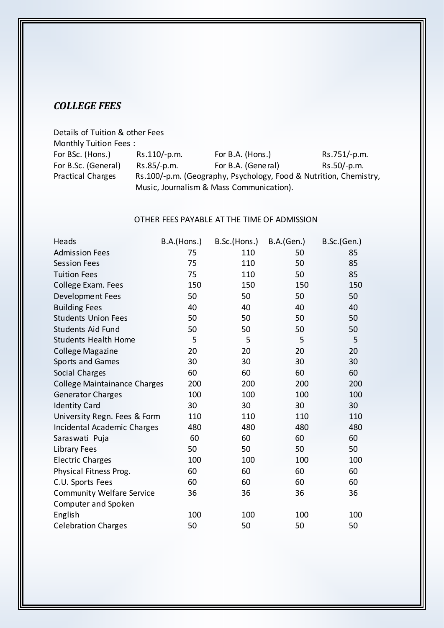### *COLLEGE FEES*

Details of Tuition & other Fees Monthly Tuition Fees : For BSc. (Hons.) Rs.110/-p.m. For B.A. (Hons.) Rs.751/-p.m. For B.Sc. (General) Rs.85/-p.m. For B.A. (General) Rs.50/-p.m. Practical Charges Rs.100/-p.m. (Geography, Psychology, Food & Nutrition, Chemistry, Music, Journalism & Mass Communication).

#### OTHER FEES PAYABLE AT THE TIME OF ADMISSION

| Heads                               | B.A.(Hons.) | B.Sc.(Hons.) | B.A.(Gen.) | B.Sc.(Gen.) |
|-------------------------------------|-------------|--------------|------------|-------------|
| <b>Admission Fees</b>               | 75          | 110          | 50         | 85          |
| <b>Session Fees</b>                 | 75          | 110          | 50         | 85          |
| <b>Tuition Fees</b>                 | 75          | 110          | 50         | 85          |
| College Exam. Fees                  | 150         | 150          | 150        | 150         |
| Development Fees                    | 50          | 50           | 50         | 50          |
| <b>Building Fees</b>                | 40          | 40           | 40         | 40          |
| <b>Students Union Fees</b>          | 50          | 50           | 50         | 50          |
| <b>Students Aid Fund</b>            | 50          | 50           | 50         | 50          |
| <b>Students Health Home</b>         | 5           | 5            | 5          | 5           |
| <b>College Magazine</b>             | 20          | 20           | 20         | 20          |
| Sports and Games                    | 30          | 30           | 30         | 30          |
| Social Charges                      | 60          | 60           | 60         | 60          |
| <b>College Maintainance Charges</b> | 200         | 200          | 200        | 200         |
| <b>Generator Charges</b>            | 100         | 100          | 100        | 100         |
| <b>Identity Card</b>                | 30          | 30           | 30         | 30          |
| University Regn. Fees & Form        | 110         | 110          | 110        | 110         |
| Incidental Academic Charges         | 480         | 480          | 480        | 480         |
| Saraswati Puja                      | 60          | 60           | 60         | 60          |
| Library Fees                        | 50          | 50           | 50         | 50          |
| <b>Electric Charges</b>             | 100         | 100          | 100        | 100         |
| Physical Fitness Prog.              | 60          | 60           | 60         | 60          |
| C.U. Sports Fees                    | 60          | 60           | 60         | 60          |
| <b>Community Welfare Service</b>    | 36          | 36           | 36         | 36          |
| Computer and Spoken                 |             |              |            |             |
| English                             | 100         | 100          | 100        | 100         |
| <b>Celebration Charges</b>          | 50          | 50           | 50         | 50          |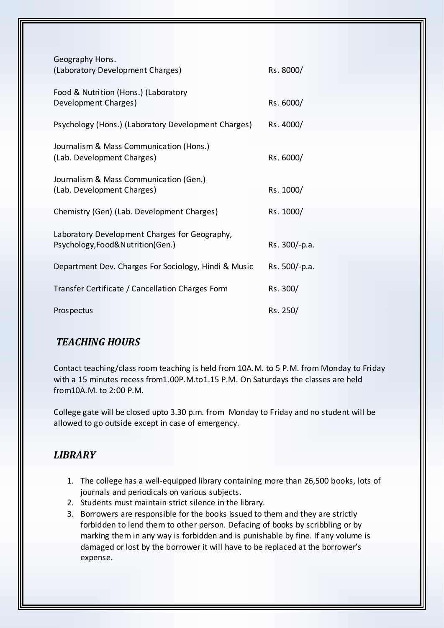| Geography Hons.                                                                     |               |
|-------------------------------------------------------------------------------------|---------------|
| (Laboratory Development Charges)                                                    | Rs. 8000/     |
| Food & Nutrition (Hons.) (Laboratory<br>Development Charges)                        | Rs. 6000/     |
| Psychology (Hons.) (Laboratory Development Charges)                                 | Rs. 4000/     |
| Journalism & Mass Communication (Hons.)<br>(Lab. Development Charges)               | Rs. 6000/     |
| Journalism & Mass Communication (Gen.)<br>(Lab. Development Charges)                | Rs. 1000/     |
| Chemistry (Gen) (Lab. Development Charges)                                          | Rs. 1000/     |
| Laboratory Development Charges for Geography,<br>Psychology, Food& Nutrition (Gen.) | Rs. 300/-p.a. |
| Department Dev. Charges For Sociology, Hindi & Music                                | Rs. 500/-p.a. |
| Transfer Certificate / Cancellation Charges Form                                    | Rs. 300/      |
| Prospectus                                                                          | Rs. 250/      |

# *TEACHING HOURS*

Contact teaching/class room teaching is held from 10A.M. to 5 P.M. from Monday to Friday with a 15 minutes recess from1.00P.M.to1.15 P.M. On Saturdays the classes are held from10A.M. to 2:00 P.M.

College gate will be closed upto 3.30 p.m. from Monday to Friday and no student will be allowed to go outside except in case of emergency.

# *LIBRARY*

- 1. The college has a well-equipped library containing more than 26,500 books, lots of journals and periodicals on various subjects.
- 2. Students must maintain strict silence in the library.
- 3. Borrowers are responsible for the books issued to them and they are strictly forbidden to lend them to other person. Defacing of books by scribbling or by marking them in any way is forbidden and is punishable by fine. If any volume is damaged or lost by the borrower it will have to be replaced at the borrower's expense.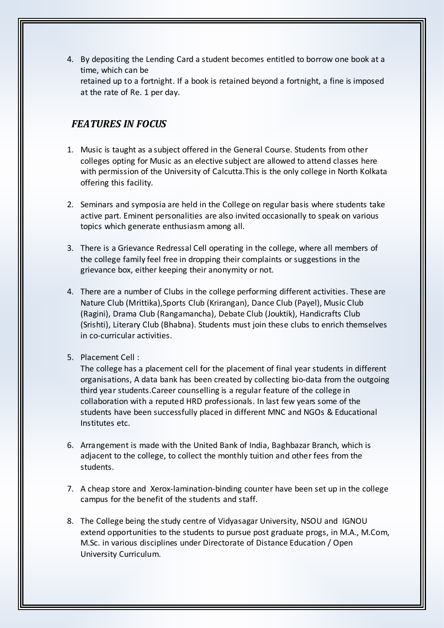4. By depositing the Lending Card a student becomes entitled to borrow one book at a time, which can be retained up to a fortnight. If a book is retained beyond a fortnight, a fine is imposed at the rate of Re. 1 per day.

### *FEATURES IN FOCUS*

- 1. Music is taught as a subject offered in the General Course. Students from other colleges opting for Music as an elective subject are allowed to attend classes here with permission of the University of Calcutta.This is the only college in North Kolkata offering this facility.
- 2. Seminars and symposia are held in the College on regular basis where students take active part. Eminent personalities are also invited occasionally to speak on various topics which generate enthusiasm among all.
- 3. There is a Grievance Redressal Cell operating in the college, where all members of the college family feel free in dropping their complaints or suggestions in the grievance box, either keeping their anonymity or not.
- 4. There are a number of Clubs in the college performing different activities. These are Nature Club (Mrittika),Sports Club (Krirangan), Dance Club (Payel), Music Club (Ragini), Drama Club (Rangamancha), Debate Club (Jouktik), Handicrafts Club (Srishti), Literary Club (Bhabna). Students must join these clubs to enrich themselves in co-curricular activities.
- 5. Placement Cell :

The college has a placement cell for the placement of final year students in different organisations, A data bank has been created by collecting bio-data from the outgoing third year students.Career counselling is a regular feature of the college in collaboration with a reputed HRD professionals. In last few years some of the students have been successfully placed in different MNC and NGOs & Educational Institutes etc.

- 6. Arrangement is made with the United Bank of India, Baghbazar Branch, which is adjacent to the college, to collect the monthly tuition and other fees from the students.
- 7. A cheap store and Xerox-lamination-binding counter have been set up in the college campus for the benefit of the students and staff.
- 8. The College being the study centre of Vidyasagar University, NSOU and IGNOU extend opportunities to the students to pursue post graduate progs, in M.A., M.Com, M.Sc. in various disciplines under Directorate of Distance Education / Open University Curriculum.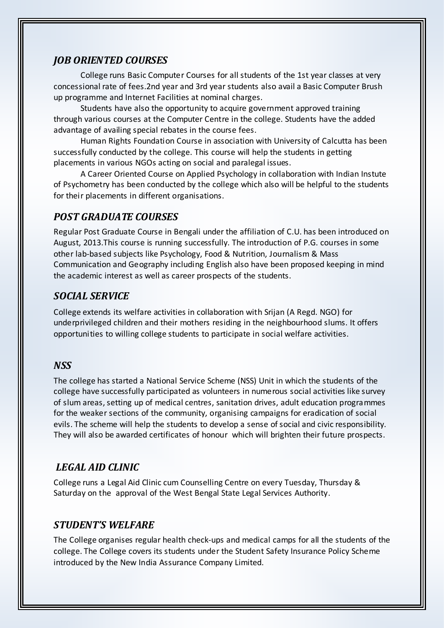### *JOB ORIENTED COURSES*

College runs Basic Computer Courses for all students of the 1st year classes at very concessional rate of fees.2nd year and 3rd year students also avail a Basic Computer Brush up programme and Internet Facilities at nominal charges.

Students have also the opportunity to acquire government approved training through various courses at the Computer Centre in the college. Students have the added advantage of availing special rebates in the course fees.

Human Rights Foundation Course in association with University of Calcutta has been successfully conducted by the college. This course will help the students in getting placements in various NGOs acting on social and paralegal issues.

A Career Oriented Course on Applied Psychology in collaboration with Indian Instute of Psychometry has been conducted by the college which also will be helpful to the students for their placements in different organisations.

# *POST GRADUATE COURSES*

Regular Post Graduate Course in Bengali under the affiliation of C.U. has been introduced on August, 2013.This course is running successfully. The introduction of P.G. courses in some other lab-based subjects like Psychology, Food & Nutrition, Journalism & Mass Communication and Geography including English also have been proposed keeping in mind the academic interest as well as career prospects of the students.

# *SOCIAL SERVICE*

College extends its welfare activities in collaboration with Srijan (A Regd. NGO) for underprivileged children and their mothers residing in the neighbourhood slums. It offers opportunities to willing college students to participate in social welfare activities.

### *NSS*

The college has started a National Service Scheme (NSS) Unit in which the students of the college have successfully participated as volunteers in numerous social activities like survey of slum areas, setting up of medical centres, sanitation drives, adult education programmes for the weaker sections of the community, organising campaigns for eradication of social evils. The scheme will help the students to develop a sense of social and civic responsibility. They will also be awarded certificates of honour which will brighten their future prospects.

# *LEGAL AID CLINIC*

College runs a Legal Aid Clinic cum Counselling Centre on every Tuesday, Thursday & Saturday on the approval of the West Bengal State Legal Services Authority.

### *STUDENT'S WELFARE*

The College organises regular health check-ups and medical camps for all the students of the college. The College covers its students under the Student Safety Insurance Policy Scheme introduced by the New India Assurance Company Limited.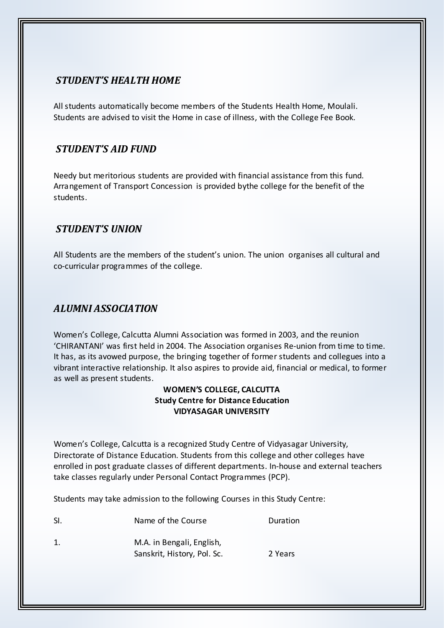# *STUDENT'S HEALTH HOME*

All students automatically become members of the Students Health Home, Moulali. Students are advised to visit the Home in case of illness, with the College Fee Book.

# *STUDENT'S AID FUND*

Needy but meritorious students are provided with financial assistance from this fund. Arrangement of Transport Concession is provided bythe college for the benefit of the students.

# *STUDENT'S UNION*

All Students are the members of the student's union. The union organises all cultural and co-curricular programmes of the college.

### *ALUMNI ASSOCIATION*

Women's College, Calcutta Alumni Association was formed in 2003, and the reunion 'CHIRANTANI' was first held in 2004. The Association organises Re-union from time to time. It has, as its avowed purpose, the bringing together of former students and collegues into a vibrant interactive relationship. It also aspires to provide aid, financial or medical, to former as well as present students.

#### **WOMEN'S COLLEGE, CALCUTTA Study Centre for Distance Education VIDYASAGAR UNIVERSITY**

Women's College, Calcutta is a recognized Study Centre of Vidyasagar University, Directorate of Distance Education. Students from this college and other colleges have enrolled in post graduate classes of different departments. In-house and external teachers take classes regularly under Personal Contact Programmes (PCP).

Students may take admission to the following Courses in this Study Centre:

SI. Name of the Course **Duration** 

1. M.A. in Bengali, English, Sanskrit, History, Pol. Sc. 2 Years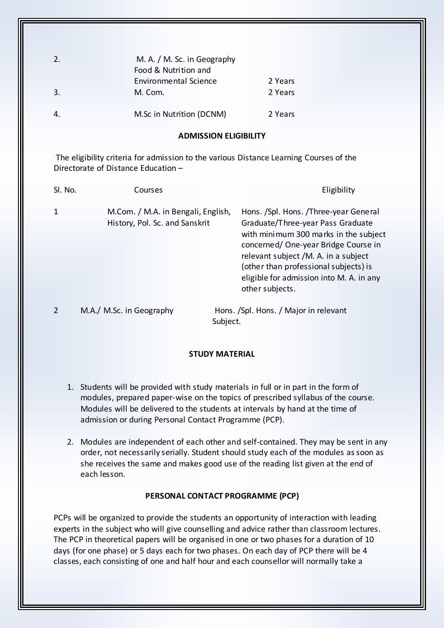| 2. | M. A. / M. Sc. in Geography  |         |
|----|------------------------------|---------|
|    | Food & Nutrition and         |         |
|    | <b>Environmental Science</b> | 2 Years |
| 3. | M. Com.                      | 2 Years |
|    |                              |         |
|    | M.Sc in Nutrition (DCNM)     | 2 Years |

#### **ADMISSION ELIGIBILITY**

The eligibility criteria for admission to the various Distance Learning Courses of the Directorate of Distance Education –

| SI. No. | Courses                                                              | Eligibility                                                                                                                                                                                                                                                                                                |
|---------|----------------------------------------------------------------------|------------------------------------------------------------------------------------------------------------------------------------------------------------------------------------------------------------------------------------------------------------------------------------------------------------|
|         | M.Com. / M.A. in Bengali, English,<br>History, Pol. Sc. and Sanskrit | Hons. /Spl. Hons. /Three-year General<br>Graduate/Three-year Pass Graduate<br>with minimum 300 marks in the subject<br>concerned/One-year Bridge Course in<br>relevant subject /M. A. in a subject<br>(other than professional subjects) is<br>eligible for admission into M. A. in any<br>other subjects. |
|         | M.A./ M.Sc. in Geography                                             | Hons. /Spl. Hons. / Major in relevant<br>Subject.                                                                                                                                                                                                                                                          |

#### **STUDY MATERIAL**

- 1. Students will be provided with study materials in full or in part in the form of modules, prepared paper-wise on the topics of prescribed syllabus of the course. Modules will be delivered to the students at intervals by hand at the time of admission or during Personal Contact Programme (PCP).
- 2. Modules are independent of each other and self-contained. They may be sent in any order, not necessarily serially. Student should study each of the modules as soon as she receives the same and makes good use of the reading list given at the end of each lesson.

#### **PERSONAL CONTACT PROGRAMME (PCP)**

PCPs will be organized to provide the students an opportunity of interaction with leading experts in the subject who will give counselling and advice rather than classroom lectures. The PCP in theoretical papers will be organised in one or two phases for a duration of 10 days (for one phase) or 5 days each for two phases. On each day of PCP there will be 4 classes, each consisting of one and half hour and each counsellor will normally take a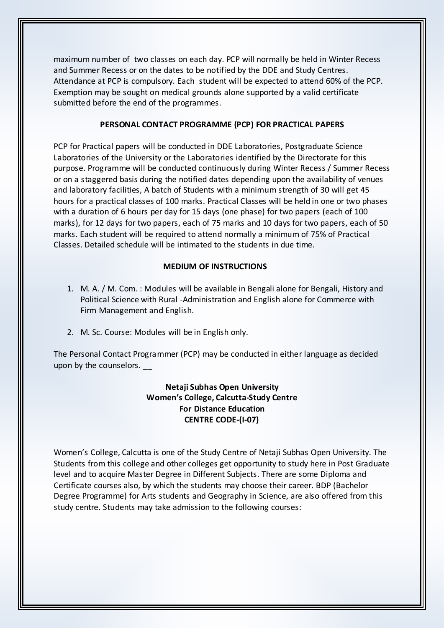maximum number of two classes on each day. PCP will normally be held in Winter Recess and Summer Recess or on the dates to be notified by the DDE and Study Centres. Attendance at PCP is compulsory. Each student will be expected to attend 60% of the PCP. Exemption may be sought on medical grounds alone supported by a valid certificate submitted before the end of the programmes.

#### **PERSONAL CONTACT PROGRAMME (PCP) FOR PRACTICAL PAPERS**

PCP for Practical papers will be conducted in DDE Laboratories, Postgraduate Science Laboratories of the University or the Laboratories identified by the Directorate for this purpose. Programme will be conducted continuously during Winter Recess / Summer Recess or on a staggered basis during the notified dates depending upon the availability of venues and laboratory facilities, A batch of Students with a minimum strength of 30 will get 45 hours for a practical classes of 100 marks. Practical Classes will be held in one or two phases with a duration of 6 hours per day for 15 days (one phase) for two papers (each of 100 marks), for 12 days for two papers, each of 75 marks and 10 days for two papers, each of 50 marks. Each student will be required to attend normally a minimum of 75% of Practical Classes. Detailed schedule will be intimated to the students in due time.

#### **MEDIUM OF INSTRUCTIONS**

- 1. M. A. / M. Com. : Modules will be available in Bengali alone for Bengali, History and Political Science with Rural -Administration and English alone for Commerce with Firm Management and English.
- 2. M. Sc. Course: Modules will be in English only.

The Personal Contact Programmer (PCP) may be conducted in either language as decided upon by the counselors.

### **Netaji Subhas Open University Women's College, Calcutta-Study Centre For Distance Education CENTRE CODE-(I-07)**

Women's College, Calcutta is one of the Study Centre of Netaji Subhas Open University. The Students from this college and other colleges get opportunity to study here in Post Graduate level and to acquire Master Degree in Different Subjects. There are some Diploma and Certificate courses also, by which the students may choose their career. BDP (Bachelor Degree Programme) for Arts students and Geography in Science, are also offered from this study centre. Students may take admission to the following courses: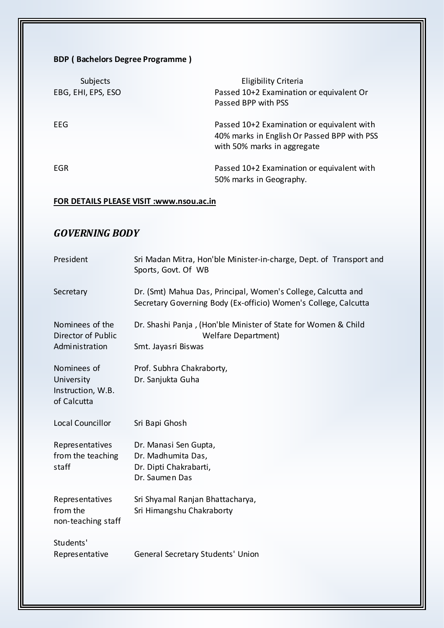# **BDP ( Bachelors Degree Programme )**

| Subjects           | Eligibility Criteria                                                                                                     |
|--------------------|--------------------------------------------------------------------------------------------------------------------------|
| EBG, EHI, EPS, ESO | Passed 10+2 Examination or equivalent Or<br>Passed BPP with PSS                                                          |
| <b>EEG</b>         | Passed 10+2 Examination or equivalent with<br>40% marks in English Or Passed BPP with PSS<br>with 50% marks in aggregate |
| <b>EGR</b>         | Passed 10+2 Examination or equivalent with<br>50% marks in Geography.                                                    |

### **FOR DETAILS PLEASE VISIT :www.nsou.ac.in**

# *GOVERNING BODY*

| President                                                     | Sri Madan Mitra, Hon'ble Minister-in-charge, Dept. of Transport and<br>Sports, Govt. Of WB                                       |
|---------------------------------------------------------------|----------------------------------------------------------------------------------------------------------------------------------|
| Secretary                                                     | Dr. (Smt) Mahua Das, Principal, Women's College, Calcutta and<br>Secretary Governing Body (Ex-officio) Women's College, Calcutta |
| Nominees of the<br>Director of Public<br>Administration       | Dr. Shashi Panja, (Hon'ble Minister of State for Women & Child<br><b>Welfare Department)</b><br>Smt. Jayasri Biswas              |
| Nominees of<br>University<br>Instruction, W.B.<br>of Calcutta | Prof. Subhra Chakraborty,<br>Dr. Sanjukta Guha                                                                                   |
| <b>Local Councillor</b>                                       | Sri Bapi Ghosh                                                                                                                   |
| Representatives<br>from the teaching<br>staff                 | Dr. Manasi Sen Gupta,<br>Dr. Madhumita Das,<br>Dr. Dipti Chakrabarti,<br>Dr. Saumen Das                                          |
| Representatives<br>from the<br>non-teaching staff             | Sri Shyamal Ranjan Bhattacharya,<br>Sri Himangshu Chakraborty                                                                    |
| Students'<br>Representative                                   | <b>General Secretary Students' Union</b>                                                                                         |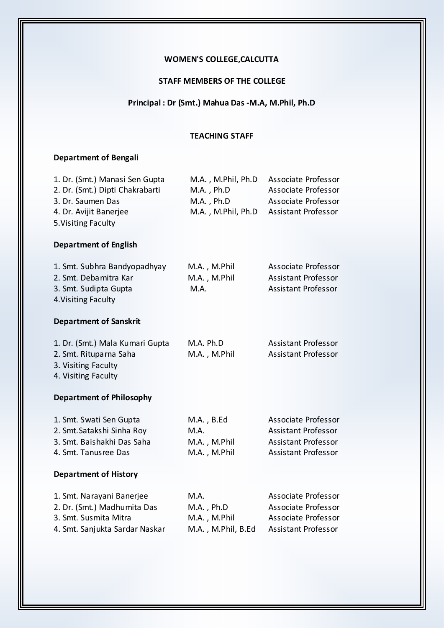#### **WOMEN'S COLLEGE,CALCUTTA**

#### **STAFF MEMBERS OF THE COLLEGE**

#### **Principal : Dr (Smt.) Mahua Das -M.A, M.Phil, Ph.D**

#### **TEACHING STAFF**

### **Department of Bengali**

| 1. Dr. (Smt.) Manasi Sen Gupta  | M.A., M.Phil, Ph.D. | Associate Professor        |
|---------------------------------|---------------------|----------------------------|
| 2. Dr. (Smt.) Dipti Chakrabarti | M.A., Ph.D          | Associate Professor        |
| 3. Dr. Saumen Das               | M.A., Ph.D          | Associate Professor        |
| 4. Dr. Avijit Banerjee          | M.A., M.Phil, Ph.D  | <b>Assistant Professor</b> |
| 5. Visiting Faculty             |                     |                            |

### **Department of English**

| 1. Smt. Subhra Bandyopadhyay | M.A., M.Phil | Associate Professor        |
|------------------------------|--------------|----------------------------|
| 2. Smt. Debamitra Kar        | M.A., M.Phil | <b>Assistant Professor</b> |
| 3. Smt. Sudipta Gupta        | M.A.         | <b>Assistant Professor</b> |
| 4. Visiting Faculty          |              |                            |

#### **Department of Sanskrit**

| 1. Dr. (Smt.) Mala Kumari Gupta | M.A. Ph.D    | <b>Assistant Professor</b> |
|---------------------------------|--------------|----------------------------|
| 2. Smt. Rituparna Saha          | M.A., M.Phil | <b>Assistant Professor</b> |
| 3. Visiting Faculty             |              |                            |

4. Visiting Faculty

### **Department of Philosophy**

| 1. Smt. Swati Sen Gupta    | M.A., B.Ed   | Associate Professor        |
|----------------------------|--------------|----------------------------|
| 2. Smt. Satakshi Sinha Roy | M.A.         | <b>Assistant Professor</b> |
| 3. Smt. Baishakhi Das Saha | M.A., M.Phil | <b>Assistant Professor</b> |
| 4. Smt. Tanusree Das       | M.A., M.Phil | <b>Assistant Professor</b> |

### **Department of History**

| 1. Smt. Narayani Banerjee      | M.A.               | Associate Professor        |
|--------------------------------|--------------------|----------------------------|
| 2. Dr. (Smt.) Madhumita Das    | M.A. , Ph.D        | Associate Professor        |
| 3. Smt. Susmita Mitra          | M.A., M.Phil       | Associate Professor        |
| 4. Smt. Sanjukta Sardar Naskar | M.A., M.Phil, B.Ed | <b>Assistant Professor</b> |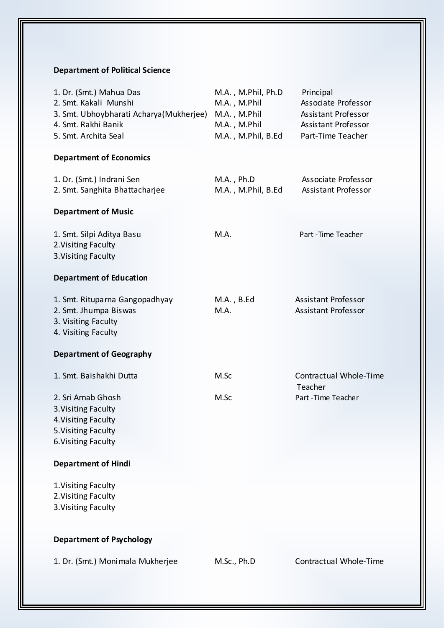### **Department of Political Science**

| 1. Dr. (Smt.) Mahua Das<br>2. Smt. Kakali Munshi<br>3. Smt. Ubhoybharati Acharya (Mukherjee)<br>4. Smt. Rakhi Banik<br>5. Smt. Archita Seal | M.A., M.Phil, Ph.D<br>M.A., M.Phil<br>M.A., M.Phil<br>M.A., M.Phil<br>M.A., M.Phil, B.Ed | Principal<br>Associate Professor<br>Assistant Professor<br>Assistant Professor<br>Part-Time Teacher |
|---------------------------------------------------------------------------------------------------------------------------------------------|------------------------------------------------------------------------------------------|-----------------------------------------------------------------------------------------------------|
| <b>Department of Economics</b>                                                                                                              |                                                                                          |                                                                                                     |
| 1. Dr. (Smt.) Indrani Sen<br>2. Smt. Sanghita Bhattacharjee                                                                                 | M.A., Ph.D<br>M.A., M.Phil, B.Ed                                                         | Associate Professor<br><b>Assistant Professor</b>                                                   |
| <b>Department of Music</b>                                                                                                                  |                                                                                          |                                                                                                     |
| 1. Smt. Silpi Aditya Basu<br>2. Visiting Faculty<br>3. Visiting Faculty                                                                     | M.A.                                                                                     | Part - Time Teacher                                                                                 |
| <b>Department of Education</b>                                                                                                              |                                                                                          |                                                                                                     |
| 1. Smt. Rituparna Gangopadhyay<br>2. Smt. Jhumpa Biswas<br>3. Visiting Faculty<br>4. Visiting Faculty                                       | M.A., B.Ed<br>M.A.                                                                       | <b>Assistant Professor</b><br><b>Assistant Professor</b>                                            |
| <b>Department of Geography</b>                                                                                                              |                                                                                          |                                                                                                     |
| 1. Smt. Baishakhi Dutta                                                                                                                     | M.Sc                                                                                     | Contractual Whole-Time<br>Teacher                                                                   |
| 2. Sri Arnab Ghosh<br>3. Visiting Faculty<br>4. Visiting Faculty<br>5. Visiting Faculty<br>6. Visiting Faculty                              | M.Sc                                                                                     | Part - Time Teacher                                                                                 |
| <b>Department of Hindi</b>                                                                                                                  |                                                                                          |                                                                                                     |
| 1. Visiting Faculty<br>2. Visiting Faculty<br>3. Visiting Faculty                                                                           |                                                                                          |                                                                                                     |
| <b>Department of Psychology</b>                                                                                                             |                                                                                          |                                                                                                     |
| 1. Dr. (Smt.) Monimala Mukherjee                                                                                                            | M.Sc., Ph.D                                                                              | Contractual Whole-Time                                                                              |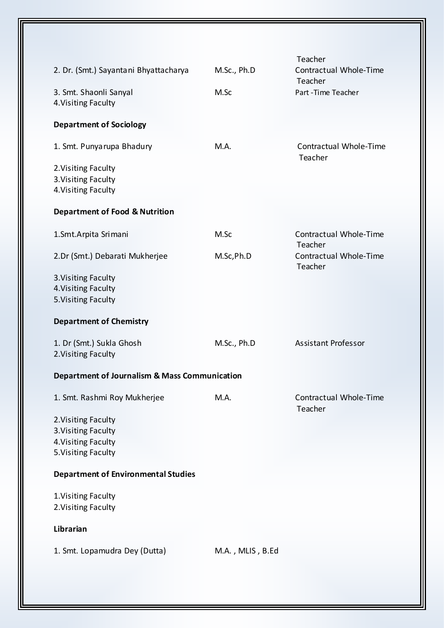| 2. Dr. (Smt.) Sayantani Bhyattacharya                                                    | M.Sc., Ph.D      | Teacher<br>Contractual Whole-Time<br>Teacher |
|------------------------------------------------------------------------------------------|------------------|----------------------------------------------|
| 3. Smt. Shaonli Sanyal<br>4. Visiting Faculty                                            | M.Sc             | Part - Time Teacher                          |
| <b>Department of Sociology</b>                                                           |                  |                                              |
| 1. Smt. Punyarupa Bhadury                                                                | M.A.             | Contractual Whole-Time<br>Teacher            |
| 2. Visiting Faculty<br>3. Visiting Faculty<br>4. Visiting Faculty                        |                  |                                              |
| <b>Department of Food &amp; Nutrition</b>                                                |                  |                                              |
| 1.Smt.Arpita Srimani                                                                     | M.Sc             | Contractual Whole-Time<br>Teacher            |
| 2.Dr (Smt.) Debarati Mukherjee                                                           | M.Sc, Ph.D       | Contractual Whole-Time<br>Teacher            |
| 3. Visiting Faculty<br>4. Visiting Faculty<br>5. Visiting Faculty                        |                  |                                              |
| <b>Department of Chemistry</b>                                                           |                  |                                              |
| 1. Dr (Smt.) Sukla Ghosh<br>2. Visiting Faculty                                          | M.Sc., Ph.D      | <b>Assistant Professor</b>                   |
| Department of Journalism & Mass Communication                                            |                  |                                              |
| 1. Smt. Rashmi Roy Mukherjee                                                             | M.A.             | Contractual Whole-Time<br>Teacher            |
| 2. Visiting Faculty<br>3. Visiting Faculty<br>4. Visiting Faculty<br>5. Visiting Faculty |                  |                                              |
| <b>Department of Environmental Studies</b>                                               |                  |                                              |
| 1. Visiting Faculty<br>2. Visiting Faculty                                               |                  |                                              |
| Librarian                                                                                |                  |                                              |
| 1. Smt. Lopamudra Dey (Dutta)                                                            | M.A., MLIS, B.Ed |                                              |
|                                                                                          |                  |                                              |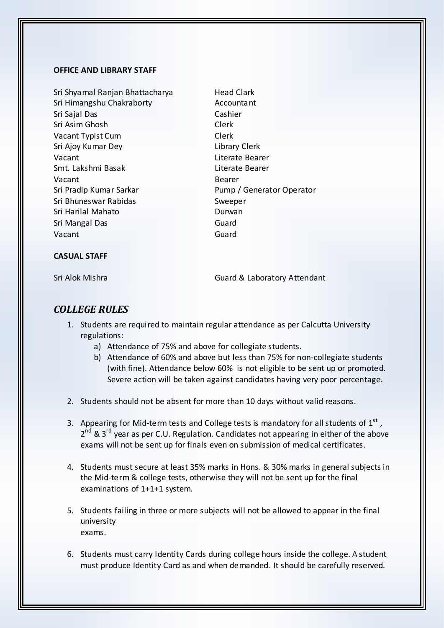#### **OFFICE AND LIBRARY STAFF**

Sri Shyamal Ranjan Bhattacharya Head Clark Sri Himangshu Chakraborty **Accountant** Sri Sajal Das Cashier Sri Asim Ghosh Clerk Vacant Typist Cum Clerk Sri Ajoy Kumar Dey **Library Clerk** Vacant Literate Bearer Smt. Lakshmi Basak **Literate Bearer** Vacant Bearer Sri Pradip Kumar Sarkar Pump / Generator Operator Sri Bhuneswar Rabidas Sweeper Sri Harilal Mahato **Durwan** Sri Mangal Das Guard Vacant Guard

#### **CASUAL STAFF**

Sri Alok Mishra Guard & Laboratory Attendant

#### *COLLEGE RULES*

- 1. Students are required to maintain regular attendance as per Calcutta University regulations:
	- a) Attendance of 75% and above for collegiate students.
	- b) Attendance of 60% and above but less than 75% for non-collegiate students (with fine). Attendance below 60% is not eligible to be sent up or promoted. Severe action will be taken against candidates having very poor percentage.
- 2. Students should not be absent for more than 10 days without valid reasons.
- 3. Appearing for Mid-term tests and College tests is mandatory for all students of  $1<sup>st</sup>$ ,  $2^{nd}$  &  $3^{rd}$  year as per C.U. Regulation. Candidates not appearing in either of the above exams will not be sent up for finals even on submission of medical certificates.
- 4. Students must secure at least 35% marks in Hons. & 30% marks in general subjects in the Mid-term & college tests, otherwise they will not be sent up for the final examinations of 1+1+1 system.
- 5. Students failing in three or more subjects will not be allowed to appear in the final university exams.
- 6. Students must carry Identity Cards during college hours inside the college. A student must produce Identity Card as and when demanded. It should be carefully reserved.